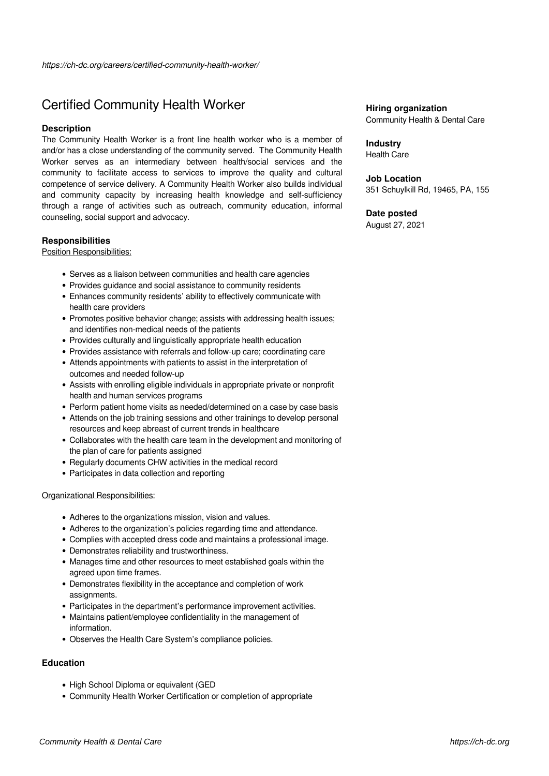# Certified Community Health Worker

## **Description**

The Community Health Worker is a front line health worker who is a member of and/or has a close understanding of the community served. The Community Health Worker serves as an intermediary between health/social services and the community to facilitate access to services to improve the quality and cultural competence of service delivery. A Community Health Worker also builds individual and community capacity by increasing health knowledge and self-sufficiency through a range of activities such as outreach, community education, informal counseling, social support and advocacy.

## **Responsibilities**

Position Responsibilities:

- Serves as a liaison between communities and health care agencies
- Provides guidance and social assistance to community residents
- Enhances community residents' ability to effectively communicate with health care providers
- Promotes positive behavior change; assists with addressing health issues; and identifies non-medical needs of the patients
- Provides culturally and linguistically appropriate health education
- Provides assistance with referrals and follow-up care; coordinating care
- Attends appointments with patients to assist in the interpretation of outcomes and needed follow-up
- Assists with enrolling eligible individuals in appropriate private or nonprofit health and human services programs
- Perform patient home visits as needed/determined on a case by case basis
- Attends on the job training sessions and other trainings to develop personal resources and keep abreast of current trends in healthcare
- Collaborates with the health care team in the development and monitoring of the plan of care for patients assigned
- Regularly documents CHW activities in the medical record
- Participates in data collection and reporting

#### Organizational Responsibilities:

- Adheres to the organizations mission, vision and values.
- Adheres to the organization's policies regarding time and attendance.
- Complies with accepted dress code and maintains a professional image.
- Demonstrates reliability and trustworthiness.
- Manages time and other resources to meet established goals within the agreed upon time frames.
- Demonstrates flexibility in the acceptance and completion of work assignments.
- Participates in the department's performance improvement activities.
- Maintains patient/employee confidentiality in the management of information.
- Observes the Health Care System's compliance policies.

#### **Education**

- High School Diploma or equivalent (GED
- Community Health Worker Certification or completion of appropriate

# **Hiring organization**

Community Health & Dental Care

## **Industry**

Health Care

## **Job Location**

351 Schuylkill Rd, 19465, PA, 155

# **Date posted**

August 27, 2021